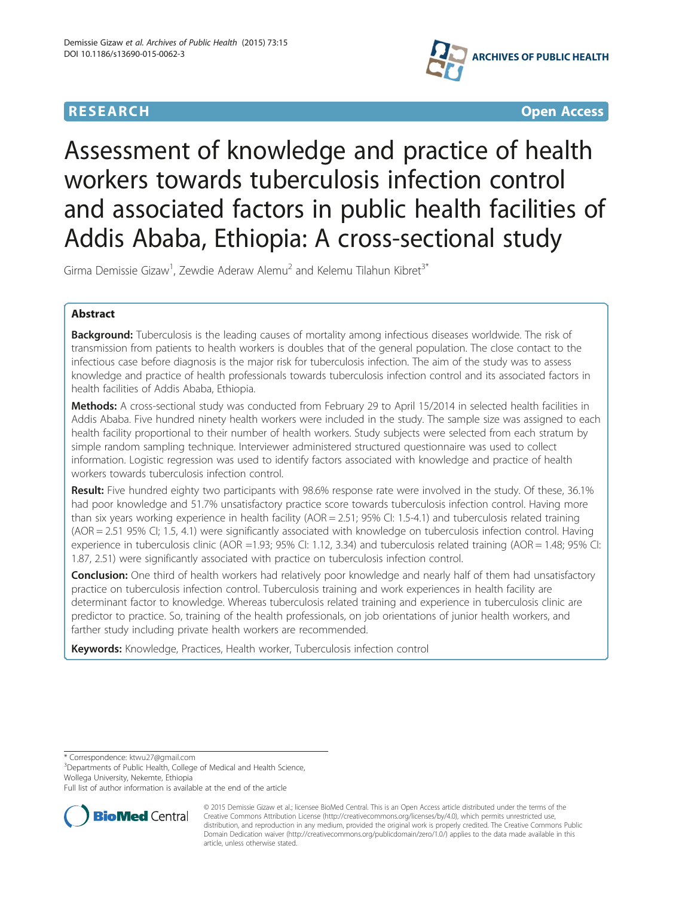## **RESEARCH CHILD CONTROL** CONTROL CONTROL CONTROL CONTROL CONTROL CONTROL CONTROL CONTROL CONTROL CONTROL CONTROL CONTROL CONTROL CONTROL CONTROL CONTROL CONTROL CONTROL CONTROL CONTROL CONTROL CONTROL CONTROL CONTROL CONTR



# Assessment of knowledge and practice of health workers towards tuberculosis infection control and associated factors in public health facilities of Addis Ababa, Ethiopia: A cross-sectional study

Girma Demissie Gizaw<sup>1</sup>, Zewdie Aderaw Alemu<sup>2</sup> and Kelemu Tilahun Kibret<sup>3\*</sup>

## Abstract

**Background:** Tuberculosis is the leading causes of mortality among infectious diseases worldwide. The risk of transmission from patients to health workers is doubles that of the general population. The close contact to the infectious case before diagnosis is the major risk for tuberculosis infection. The aim of the study was to assess knowledge and practice of health professionals towards tuberculosis infection control and its associated factors in health facilities of Addis Ababa, Ethiopia.

Methods: A cross-sectional study was conducted from February 29 to April 15/2014 in selected health facilities in Addis Ababa. Five hundred ninety health workers were included in the study. The sample size was assigned to each health facility proportional to their number of health workers. Study subjects were selected from each stratum by simple random sampling technique. Interviewer administered structured questionnaire was used to collect information. Logistic regression was used to identify factors associated with knowledge and practice of health workers towards tuberculosis infection control.

Result: Five hundred eighty two participants with 98.6% response rate were involved in the study. Of these, 36.1% had poor knowledge and 51.7% unsatisfactory practice score towards tuberculosis infection control. Having more than six years working experience in health facility (AOR = 2.51; 95% CI: 1.5-4.1) and tuberculosis related training (AOR = 2.51 95% CI; 1.5, 4.1) were significantly associated with knowledge on tuberculosis infection control. Having experience in tuberculosis clinic (AOR =1.93; 95% CI: 1.12, 3.34) and tuberculosis related training (AOR = 1.48; 95% CI: 1.87, 2.51) were significantly associated with practice on tuberculosis infection control.

**Conclusion:** One third of health workers had relatively poor knowledge and nearly half of them had unsatisfactory practice on tuberculosis infection control. Tuberculosis training and work experiences in health facility are determinant factor to knowledge. Whereas tuberculosis related training and experience in tuberculosis clinic are predictor to practice. So, training of the health professionals, on job orientations of junior health workers, and farther study including private health workers are recommended.

Keywords: Knowledge, Practices, Health worker, Tuberculosis infection control

\* Correspondence: [ktwu27@gmail.com](mailto:ktwu27@gmail.com) <sup>3</sup>

<sup>3</sup>Departments of Public Health, College of Medical and Health Science, Wollega University, Nekemte, Ethiopia

Full list of author information is available at the end of the article



<sup>© 2015</sup> Demissie Gizaw et al.; licensee BioMed Central. This is an Open Access article distributed under the terms of the Creative Commons Attribution License (<http://creativecommons.org/licenses/by/4.0>), which permits unrestricted use, distribution, and reproduction in any medium, provided the original work is properly credited. The Creative Commons Public Domain Dedication waiver [\(http://creativecommons.org/publicdomain/zero/1.0/\)](http://creativecommons.org/publicdomain/zero/1.0/) applies to the data made available in this article, unless otherwise stated.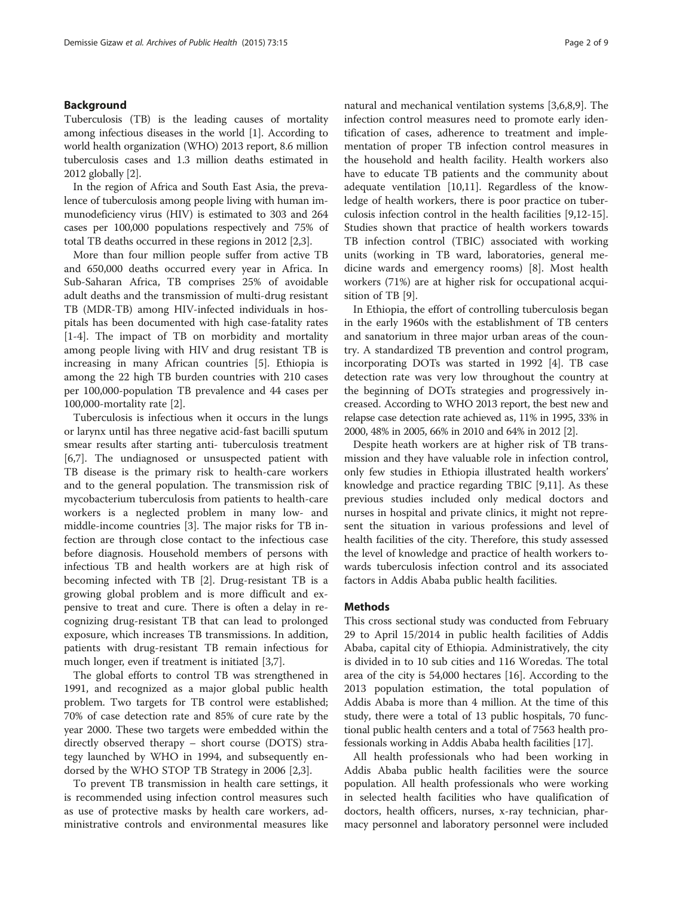#### Background

Tuberculosis (TB) is the leading causes of mortality among infectious diseases in the world [\[1](#page-8-0)]. According to world health organization (WHO) 2013 report, 8.6 million tuberculosis cases and 1.3 million deaths estimated in 2012 globally [\[2\]](#page-8-0).

In the region of Africa and South East Asia, the prevalence of tuberculosis among people living with human immunodeficiency virus (HIV) is estimated to 303 and 264 cases per 100,000 populations respectively and 75% of total TB deaths occurred in these regions in 2012 [\[2,3](#page-8-0)].

More than four million people suffer from active TB and 650,000 deaths occurred every year in Africa. In Sub-Saharan Africa, TB comprises 25% of avoidable adult deaths and the transmission of multi-drug resistant TB (MDR-TB) among HIV-infected individuals in hospitals has been documented with high case-fatality rates [[1-4](#page-8-0)]. The impact of TB on morbidity and mortality among people living with HIV and drug resistant TB is increasing in many African countries [[5\]](#page-8-0). Ethiopia is among the 22 high TB burden countries with 210 cases per 100,000-population TB prevalence and 44 cases per 100,000-mortality rate [[2\]](#page-8-0).

Tuberculosis is infectious when it occurs in the lungs or larynx until has three negative acid-fast bacilli sputum smear results after starting anti- tuberculosis treatment [[6,7\]](#page-8-0). The undiagnosed or unsuspected patient with TB disease is the primary risk to health-care workers and to the general population. The transmission risk of mycobacterium tuberculosis from patients to health-care workers is a neglected problem in many low- and middle-income countries [\[3](#page-8-0)]. The major risks for TB infection are through close contact to the infectious case before diagnosis. Household members of persons with infectious TB and health workers are at high risk of becoming infected with TB [\[2](#page-8-0)]. Drug-resistant TB is a growing global problem and is more difficult and expensive to treat and cure. There is often a delay in recognizing drug-resistant TB that can lead to prolonged exposure, which increases TB transmissions. In addition, patients with drug-resistant TB remain infectious for much longer, even if treatment is initiated [[3,7\]](#page-8-0).

The global efforts to control TB was strengthened in 1991, and recognized as a major global public health problem. Two targets for TB control were established; 70% of case detection rate and 85% of cure rate by the year 2000. These two targets were embedded within the directly observed therapy – short course (DOTS) strategy launched by WHO in 1994, and subsequently endorsed by the WHO STOP TB Strategy in 2006 [\[2,3](#page-8-0)].

To prevent TB transmission in health care settings, it is recommended using infection control measures such as use of protective masks by health care workers, administrative controls and environmental measures like

natural and mechanical ventilation systems [[3,6,8,9](#page-8-0)]. The infection control measures need to promote early identification of cases, adherence to treatment and implementation of proper TB infection control measures in the household and health facility. Health workers also have to educate TB patients and the community about adequate ventilation [\[10,11\]](#page-8-0). Regardless of the knowledge of health workers, there is poor practice on tuberculosis infection control in the health facilities [[9,12-15](#page-8-0)]. Studies shown that practice of health workers towards TB infection control (TBIC) associated with working units (working in TB ward, laboratories, general medicine wards and emergency rooms) [\[8](#page-8-0)]. Most health workers (71%) are at higher risk for occupational acquisition of TB [[9\]](#page-8-0).

In Ethiopia, the effort of controlling tuberculosis began in the early 1960s with the establishment of TB centers and sanatorium in three major urban areas of the country. A standardized TB prevention and control program, incorporating DOTs was started in 1992 [[4\]](#page-8-0). TB case detection rate was very low throughout the country at the beginning of DOTs strategies and progressively increased. According to WHO 2013 report, the best new and relapse case detection rate achieved as, 11% in 1995, 33% in 2000, 48% in 2005, 66% in 2010 and 64% in 2012 [[2](#page-8-0)].

Despite heath workers are at higher risk of TB transmission and they have valuable role in infection control, only few studies in Ethiopia illustrated health workers' knowledge and practice regarding TBIC [\[9,11](#page-8-0)]. As these previous studies included only medical doctors and nurses in hospital and private clinics, it might not represent the situation in various professions and level of health facilities of the city. Therefore, this study assessed the level of knowledge and practice of health workers towards tuberculosis infection control and its associated factors in Addis Ababa public health facilities.

## **Methods**

This cross sectional study was conducted from February 29 to April 15/2014 in public health facilities of Addis Ababa, capital city of Ethiopia. Administratively, the city is divided in to 10 sub cities and 116 Woredas. The total area of the city is 54,000 hectares [\[16\]](#page-8-0). According to the 2013 population estimation, the total population of Addis Ababa is more than 4 million. At the time of this study, there were a total of 13 public hospitals, 70 functional public health centers and a total of 7563 health professionals working in Addis Ababa health facilities [\[17\]](#page-8-0).

All health professionals who had been working in Addis Ababa public health facilities were the source population. All health professionals who were working in selected health facilities who have qualification of doctors, health officers, nurses, x-ray technician, pharmacy personnel and laboratory personnel were included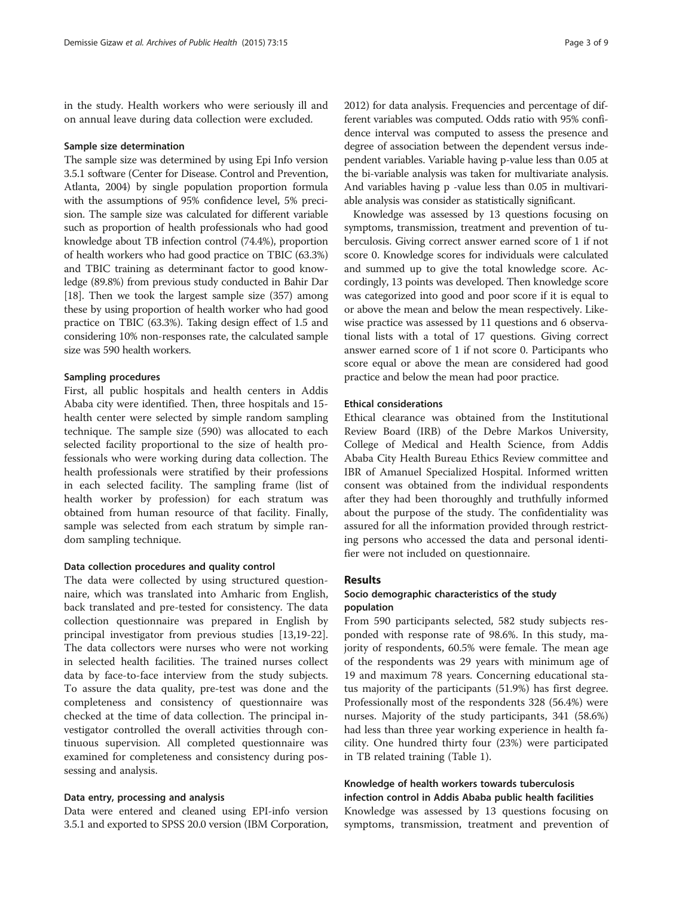in the study. Health workers who were seriously ill and on annual leave during data collection were excluded.

#### Sample size determination

The sample size was determined by using Epi Info version 3.5.1 software (Center for Disease. Control and Prevention, Atlanta, 2004) by single population proportion formula with the assumptions of 95% confidence level, 5% precision. The sample size was calculated for different variable such as proportion of health professionals who had good knowledge about TB infection control (74.4%), proportion of health workers who had good practice on TBIC (63.3%) and TBIC training as determinant factor to good knowledge (89.8%) from previous study conducted in Bahir Dar [[18](#page-8-0)]. Then we took the largest sample size (357) among these by using proportion of health worker who had good practice on TBIC (63.3%). Taking design effect of 1.5 and considering 10% non-responses rate, the calculated sample size was 590 health workers.

#### Sampling procedures

First, all public hospitals and health centers in Addis Ababa city were identified. Then, three hospitals and 15 health center were selected by simple random sampling technique. The sample size (590) was allocated to each selected facility proportional to the size of health professionals who were working during data collection. The health professionals were stratified by their professions in each selected facility. The sampling frame (list of health worker by profession) for each stratum was obtained from human resource of that facility. Finally, sample was selected from each stratum by simple random sampling technique.

#### Data collection procedures and quality control

The data were collected by using structured questionnaire, which was translated into Amharic from English, back translated and pre-tested for consistency. The data collection questionnaire was prepared in English by principal investigator from previous studies [\[13,19-22](#page-8-0)]. The data collectors were nurses who were not working in selected health facilities. The trained nurses collect data by face-to-face interview from the study subjects. To assure the data quality, pre-test was done and the completeness and consistency of questionnaire was checked at the time of data collection. The principal investigator controlled the overall activities through continuous supervision. All completed questionnaire was examined for completeness and consistency during possessing and analysis.

#### Data entry, processing and analysis

Data were entered and cleaned using EPI-info version 3.5.1 and exported to SPSS 20.0 version (IBM Corporation, 2012) for data analysis. Frequencies and percentage of different variables was computed. Odds ratio with 95% confidence interval was computed to assess the presence and degree of association between the dependent versus independent variables. Variable having p-value less than 0.05 at the bi-variable analysis was taken for multivariate analysis. And variables having p -value less than 0.05 in multivariable analysis was consider as statistically significant.

Knowledge was assessed by 13 questions focusing on symptoms, transmission, treatment and prevention of tuberculosis. Giving correct answer earned score of 1 if not score 0. Knowledge scores for individuals were calculated and summed up to give the total knowledge score. Accordingly, 13 points was developed. Then knowledge score was categorized into good and poor score if it is equal to or above the mean and below the mean respectively. Likewise practice was assessed by 11 questions and 6 observational lists with a total of 17 questions. Giving correct answer earned score of 1 if not score 0. Participants who score equal or above the mean are considered had good practice and below the mean had poor practice.

#### Ethical considerations

Ethical clearance was obtained from the Institutional Review Board (IRB) of the Debre Markos University, College of Medical and Health Science, from Addis Ababa City Health Bureau Ethics Review committee and IBR of Amanuel Specialized Hospital. Informed written consent was obtained from the individual respondents after they had been thoroughly and truthfully informed about the purpose of the study. The confidentiality was assured for all the information provided through restricting persons who accessed the data and personal identifier were not included on questionnaire.

#### Results

## Socio demographic characteristics of the study population

From 590 participants selected, 582 study subjects responded with response rate of 98.6%. In this study, majority of respondents, 60.5% were female. The mean age of the respondents was 29 years with minimum age of 19 and maximum 78 years. Concerning educational status majority of the participants (51.9%) has first degree. Professionally most of the respondents 328 (56.4%) were nurses. Majority of the study participants, 341 (58.6%) had less than three year working experience in health facility. One hundred thirty four (23%) were participated in TB related training (Table [1\)](#page-3-0).

## Knowledge of health workers towards tuberculosis infection control in Addis Ababa public health facilities

Knowledge was assessed by 13 questions focusing on symptoms, transmission, treatment and prevention of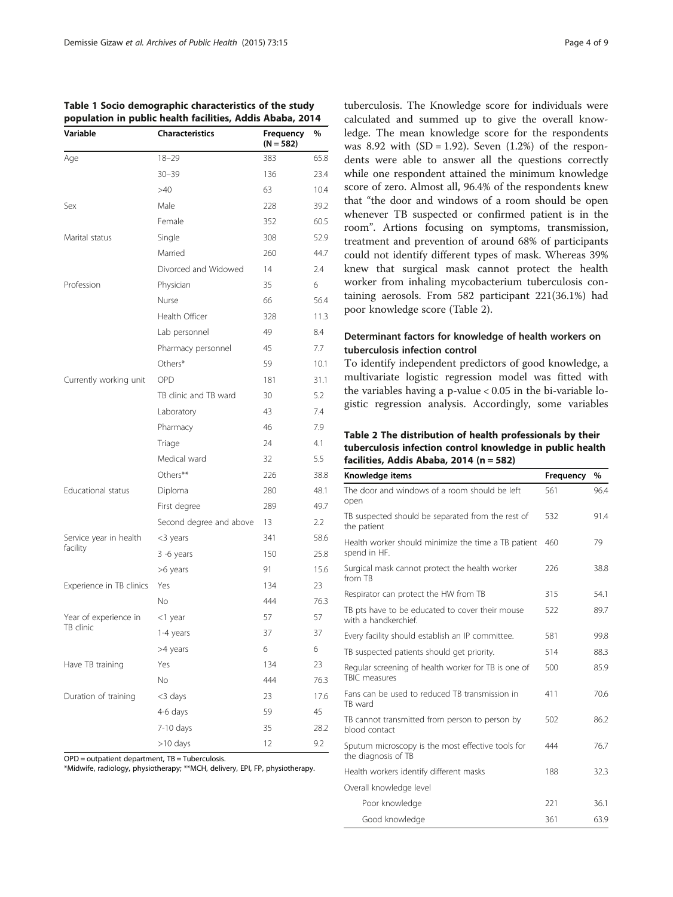| population in public health facilities, Addis Ababa, 2014 |                         |                          |      |  |  |
|-----------------------------------------------------------|-------------------------|--------------------------|------|--|--|
| Variable                                                  | <b>Characteristics</b>  | Frequency<br>$(N = 582)$ | %    |  |  |
| Age                                                       | $18 - 29$               | 383                      | 65.8 |  |  |
|                                                           | $30 - 39$               | 136                      | 23.4 |  |  |
|                                                           | >40                     | 63                       | 10.4 |  |  |
| Sex                                                       | Male                    | 228                      | 39.2 |  |  |
|                                                           | Female                  | 352                      | 60.5 |  |  |
| Marital status                                            | Single                  | 308                      | 52.9 |  |  |
|                                                           | Married                 | 260                      | 44.7 |  |  |
|                                                           | Divorced and Widowed    | 14                       | 2.4  |  |  |
| Profession                                                | Physician               | 35                       | 6    |  |  |
|                                                           | Nurse                   | 66                       | 56.4 |  |  |
|                                                           | Health Officer          | 328                      | 11.3 |  |  |
|                                                           | Lab personnel           | 49                       | 8.4  |  |  |
|                                                           | Pharmacy personnel      | 45                       | 7.7  |  |  |
|                                                           | Others*                 | 59                       | 10.1 |  |  |
| Currently working unit                                    | OPD                     | 181                      | 31.1 |  |  |
|                                                           | TB clinic and TB ward   | 30                       | 5.2  |  |  |
|                                                           | Laboratory              | 43                       | 7.4  |  |  |
|                                                           | Pharmacy                | 46                       | 7.9  |  |  |
|                                                           | Triage                  | 24                       | 4.1  |  |  |
|                                                           | Medical ward            | 32                       | 5.5  |  |  |
|                                                           | Others**                | 226                      | 38.8 |  |  |
| Educational status                                        | Diploma                 | 280                      | 48.1 |  |  |
|                                                           | First degree            | 289                      | 49.7 |  |  |
|                                                           | Second degree and above | 13                       | 2.2  |  |  |
| Service year in health                                    | <3 years                | 341                      | 58.6 |  |  |
| facility                                                  | 3 -6 years              | 150                      | 25.8 |  |  |
|                                                           | >6 years                | 91                       | 15.6 |  |  |
| Experience in TB clinics                                  | Yes                     | 134                      | 23   |  |  |
|                                                           | No                      | 444                      | 76.3 |  |  |
| Year of experience in                                     | <1 year                 | 57                       | 57   |  |  |
| TB clinic                                                 | 1-4 years               | 37                       | 37   |  |  |
|                                                           | >4 years                | 6                        | 6    |  |  |
| Have TB training                                          | Yes                     | 134                      | 23   |  |  |
|                                                           | No                      | 444                      | 76.3 |  |  |
| Duration of training                                      | <3 days                 | 23                       | 17.6 |  |  |
|                                                           | 4-6 days                | 59                       | 45   |  |  |
|                                                           | 7-10 days               | 35                       | 28.2 |  |  |
|                                                           | >10 days                | 12                       | 9.2  |  |  |

## <span id="page-3-0"></span>Table 1 Socio demographic characteristics of the study

OPD = outpatient department, TB = Tuberculosis.

\*Midwife, radiology, physiotherapy; \*\*MCH, delivery, EPI, FP, physiotherapy.

tuberculosis. The Knowledge score for individuals were calculated and summed up to give the overall knowledge. The mean knowledge score for the respondents was 8.92 with  $(SD = 1.92)$ . Seven  $(1.2%)$  of the respondents were able to answer all the questions correctly while one respondent attained the minimum knowledge score of zero. Almost all, 96.4% of the respondents knew that "the door and windows of a room should be open whenever TB suspected or confirmed patient is in the room". Artions focusing on symptoms, transmission, treatment and prevention of around 68% of participants could not identify different types of mask. Whereas 39% knew that surgical mask cannot protect the health worker from inhaling mycobacterium tuberculosis containing aerosols. From 582 participant 221(36.1%) had poor knowledge score (Table 2).

## Determinant factors for knowledge of health workers on tuberculosis infection control

To identify independent predictors of good knowledge, a multivariate logistic regression model was fitted with the variables having a p-value < 0.05 in the bi-variable logistic regression analysis. Accordingly, some variables

## Table 2 The distribution of health professionals by their tuberculosis infection control knowledge in public health facilities, Addis Ababa, 2014 (n = 582)

| Knowledge items                                                          | <b>Frequency</b> | %    |
|--------------------------------------------------------------------------|------------------|------|
| The door and windows of a room should be left<br>open                    | 561              | 96.4 |
| TB suspected should be separated from the rest of<br>the patient         | 532              | 91.4 |
| Health worker should minimize the time a TB patient<br>spend in HF.      | 460              | 79   |
| Surgical mask cannot protect the health worker<br>from TB                | 226              | 38.8 |
| Respirator can protect the HW from TB                                    | 315              | 54.1 |
| TB pts have to be educated to cover their mouse<br>with a handkerchief.  | 522              | 89.7 |
| Every facility should establish an IP committee.                         | 581              | 99.8 |
| TB suspected patients should get priority.                               | 514              | 88.3 |
| Regular screening of health worker for TB is one of<br>TBIC measures     | 500              | 85.9 |
| Fans can be used to reduced TB transmission in<br>TB ward                | 411              | 70.6 |
| TB cannot transmitted from person to person by<br>blood contact          | 502              | 86.2 |
| Sputum microscopy is the most effective tools for<br>the diagnosis of TB | 444              | 76.7 |
| Health workers identify different masks                                  | 188              | 32.3 |
| Overall knowledge level                                                  |                  |      |
| Poor knowledge                                                           | 221              | 36.1 |
| Good knowledge                                                           | 361              | 63.9 |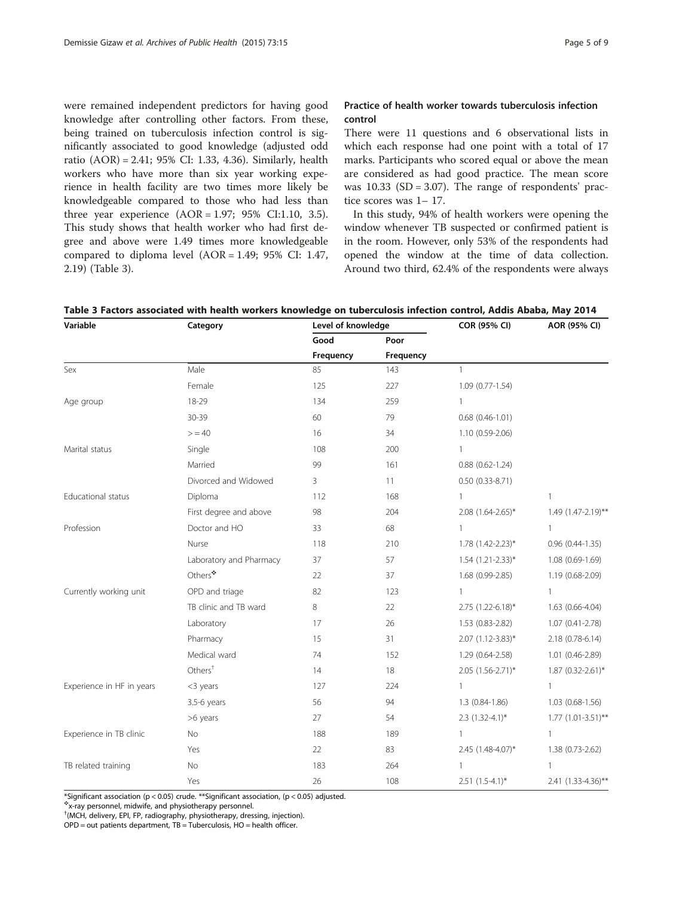were remained independent predictors for having good knowledge after controlling other factors. From these, being trained on tuberculosis infection control is significantly associated to good knowledge (adjusted odd ratio (AOR) = 2.41; 95% CI: 1.33, 4.36). Similarly, health workers who have more than six year working experience in health facility are two times more likely be knowledgeable compared to those who had less than three year experience  $(AOR = 1.97; 95\% \text{ CI:1.10, 3.5}).$ This study shows that health worker who had first degree and above were 1.49 times more knowledgeable compared to diploma level (AOR = 1.49; 95% CI: 1.47, 2.19) (Table 3).

## Practice of health worker towards tuberculosis infection control

There were 11 questions and 6 observational lists in which each response had one point with a total of 17 marks. Participants who scored equal or above the mean are considered as had good practice. The mean score was  $10.33$  (SD = 3.07). The range of respondents' practice scores was 1– 17.

In this study, 94% of health workers were opening the window whenever TB suspected or confirmed patient is in the room. However, only 53% of the respondents had opened the window at the time of data collection. Around two third, 62.4% of the respondents were always

Table 3 Factors associated with health workers knowledge on tuberculosis infection control, Addis Ababa, May 2014

| Variable                  | Category                | Level of knowledge |           | COR (95% CI)           | AOR (95% CI)         |
|---------------------------|-------------------------|--------------------|-----------|------------------------|----------------------|
|                           |                         | Good               | Poor      |                        |                      |
|                           |                         | Frequency          | Frequency |                        |                      |
| Sex                       | Male                    | 85                 | 143       | $\mathbf{1}$           |                      |
|                           | Female                  | 125                | 227       | 1.09 (0.77-1.54)       |                      |
| Age group                 | 18-29                   | 134                | 259       | $\mathbf{1}$           |                      |
|                           | 30-39                   | 60                 | 79        | $0.68$ (0.46-1.01)     |                      |
|                           | > 40                    | 16                 | 34        | 1.10 (0.59-2.06)       |                      |
| Marital status            | Single                  | 108                | 200       | $\mathbf{1}$           |                      |
|                           | Married                 | 99                 | 161       | $0.88$ $(0.62 - 1.24)$ |                      |
|                           | Divorced and Widowed    | 3                  | 11        | $0.50(0.33-8.71)$      |                      |
| Educational status        | Diploma                 | 112                | 168       | $\mathbf{1}$           | $\mathbf{1}$         |
|                           | First degree and above  | 98                 | 204       | 2.08 (1.64-2.65)*      | 1.49 (1.47-2.19)**   |
| Profession                | Doctor and HO           | 33                 | 68        | $\mathbf{1}$           |                      |
|                           | Nurse                   | 118                | 210       | 1.78 (1.42-2.23)*      | $0.96$ $(0.44-1.35)$ |
|                           | Laboratory and Pharmacy | 37                 | 57        | $1.54$ (1.21-2.33)*    | 1.08 (0.69-1.69)     |
|                           | Others*                 | 22                 | 37        | 1.68 (0.99-2.85)       | 1.19 (0.68-2.09)     |
| Currently working unit    | OPD and triage          | 82                 | 123       | 1                      | 1                    |
|                           | TB clinic and TB ward   | 8                  | 22        | 2.75 (1.22-6.18)*      | 1.63 (0.66-4.04)     |
|                           | Laboratory              | 17                 | 26        | 1.53 (0.83-2.82)       | $1.07(0.41 - 2.78)$  |
|                           | Pharmacy                | 15                 | 31        | $2.07$ (1.12-3.83)*    | 2.18 (0.78-6.14)     |
|                           | Medical ward            | 74                 | 152       | 1.29 (0.64-2.58)       | 1.01 (0.46-2.89)     |
|                           | Others <sup>†</sup>     | 14                 | 18        | 2.05 (1.56-2.71)*      | 1.87 (0.32-2.61)*    |
| Experience in HF in years | <3 years                | 127                | 224       | 1                      | 1                    |
|                           | $3.5-6$ years           | 56                 | 94        | $1.3(0.84-1.86)$       | $1.03(0.68-1.56)$    |
|                           | >6 years                | 27                 | 54        | $2.3$ (1.32-4.1)*      | $1.77(1.01-3.51)$ ** |
| Experience in TB clinic   | No                      | 188                | 189       | $\mathbf{1}$           | $\mathbf{1}$         |
|                           | Yes                     | 22                 | 83        | 2.45 (1.48-4.07)*      | 1.38 (0.73-2.62)     |
| TB related training       | No                      | 183                | 264       | $\mathbf{1}$           | $\mathbf{1}$         |
|                           | Yes                     | 26                 | 108       | $2.51$ $(1.5-4.1)$ *   | 2.41 (1.33-4.36)**   |

\*Significant association (p < 0.05) crude. \*\*Significant association, (p < 0.05) adjusted.

❖x-ray personnel, midwife, and physiotherapy personnel.

† (MCH, delivery, EPI, FP, radiography, physiotherapy, dressing, injection).

OPD = out patients department, TB = Tuberculosis, HO = health officer.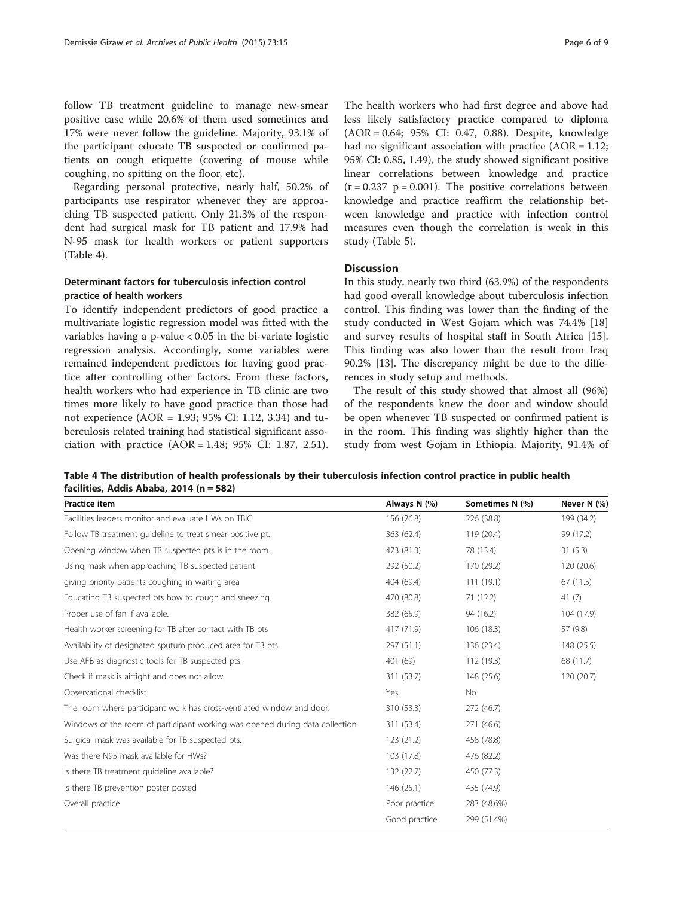follow TB treatment guideline to manage new-smear positive case while 20.6% of them used sometimes and 17% were never follow the guideline. Majority, 93.1% of the participant educate TB suspected or confirmed patients on cough etiquette (covering of mouse while coughing, no spitting on the floor, etc).

Regarding personal protective, nearly half, 50.2% of participants use respirator whenever they are approaching TB suspected patient. Only 21.3% of the respondent had surgical mask for TB patient and 17.9% had N-95 mask for health workers or patient supporters (Table 4).

## Determinant factors for tuberculosis infection control practice of health workers

To identify independent predictors of good practice a multivariate logistic regression model was fitted with the variables having a p-value < 0.05 in the bi-variate logistic regression analysis. Accordingly, some variables were remained independent predictors for having good practice after controlling other factors. From these factors, health workers who had experience in TB clinic are two times more likely to have good practice than those had not experience (AOR = 1.93; 95% CI: 1.12, 3.34) and tuberculosis related training had statistical significant association with practice (AOR = 1.48; 95% CI: 1.87, 2.51).

The health workers who had first degree and above had less likely satisfactory practice compared to diploma (AOR = 0.64; 95% CI: 0.47, 0.88). Despite, knowledge had no significant association with practice (AOR = 1.12; 95% CI: 0.85, 1.49), the study showed significant positive linear correlations between knowledge and practice  $(r = 0.237 \text{ p} = 0.001)$ . The positive correlations between knowledge and practice reaffirm the relationship between knowledge and practice with infection control measures even though the correlation is weak in this study (Table [5\)](#page-6-0).

## **Discussion**

In this study, nearly two third (63.9%) of the respondents had good overall knowledge about tuberculosis infection control. This finding was lower than the finding of the study conducted in West Gojam which was 74.4% [[18](#page-8-0)] and survey results of hospital staff in South Africa [\[15](#page-8-0)]. This finding was also lower than the result from Iraq 90.2% [[13\]](#page-8-0). The discrepancy might be due to the differences in study setup and methods.

The result of this study showed that almost all (96%) of the respondents knew the door and window should be open whenever TB suspected or confirmed patient is in the room. This finding was slightly higher than the study from west Gojam in Ethiopia. Majority, 91.4% of

Table 4 The distribution of health professionals by their tuberculosis infection control practice in public health facilities, Addis Ababa, 2014 (n = 582)

| <b>Practice item</b>                                                          | Always N (%)  | Sometimes N (%) | Never N (%) |
|-------------------------------------------------------------------------------|---------------|-----------------|-------------|
| Facilities leaders monitor and evaluate HWs on TBIC.                          | 156 (26.8)    | 226 (38.8)      | 199 (34.2)  |
| Follow TB treatment guideline to treat smear positive pt.                     | 363 (62.4)    | 119 (20.4)      | 99 (17.2)   |
| Opening window when TB suspected pts is in the room.                          | 473 (81.3)    | 78 (13.4)       | 31(5.3)     |
| Using mask when approaching TB suspected patient.                             | 292 (50.2)    | 170 (29.2)      | 120 (20.6)  |
| giving priority patients coughing in waiting area                             | 404 (69.4)    | 111(19.1)       | 67(11.5)    |
| Educating TB suspected pts how to cough and sneezing.                         | 470 (80.8)    | 71 (12.2)       | 41 $(7)$    |
| Proper use of fan if available.                                               | 382 (65.9)    | 94 (16.2)       | 104 (17.9)  |
| Health worker screening for TB after contact with TB pts                      | 417 (71.9)    | 106(18.3)       | 57 (9.8)    |
| Availability of designated sputum produced area for TB pts                    | 297 (51.1)    | 136 (23.4)      | 148 (25.5)  |
| Use AFB as diagnostic tools for TB suspected pts.                             | 401 (69)      | 112(19.3)       | 68 (11.7)   |
| Check if mask is airtight and does not allow.                                 | 311 (53.7)    | 148 (25.6)      | 120 (20.7)  |
| Observational checklist                                                       | Yes           | No              |             |
| The room where participant work has cross-ventilated window and door.         | 310 (53.3)    | 272 (46.7)      |             |
| Windows of the room of participant working was opened during data collection. | 311 (53.4)    | 271 (46.6)      |             |
| Surgical mask was available for TB suspected pts.                             | 123(21.2)     | 458 (78.8)      |             |
| Was there N95 mask available for HWs?                                         | 103 (17.8)    | 476 (82.2)      |             |
| Is there TB treatment quideline available?                                    | 132(22.7)     | 450 (77.3)      |             |
| Is there TB prevention poster posted                                          | 146(25.1)     | 435 (74.9)      |             |
| Overall practice                                                              | Poor practice | 283 (48.6%)     |             |
|                                                                               | Good practice | 299 (51.4%)     |             |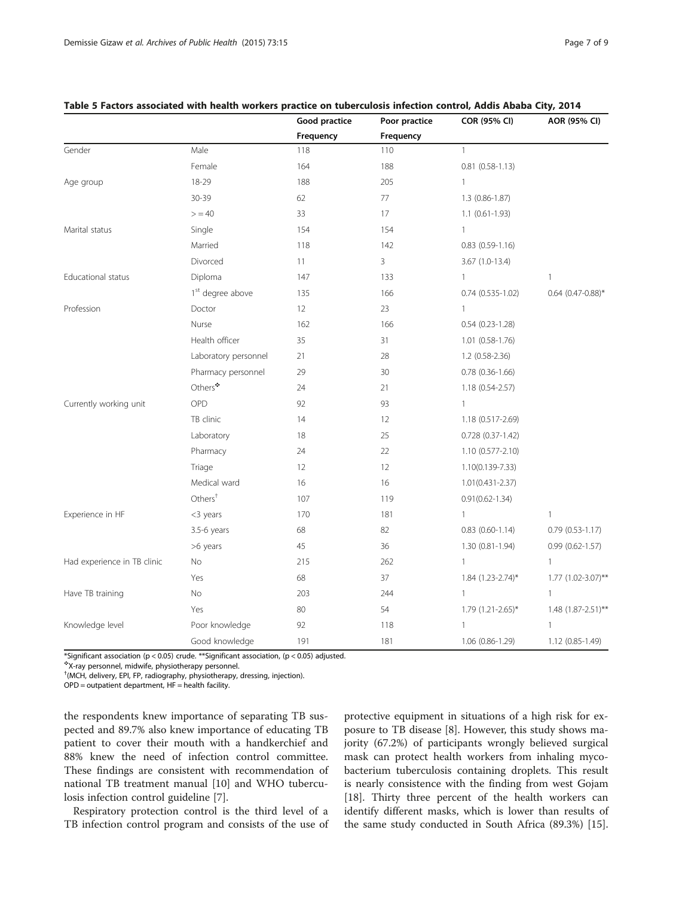|                             |                              | Good practice | Poor practice | COR (95% CI)            | AOR (95% CI)         |
|-----------------------------|------------------------------|---------------|---------------|-------------------------|----------------------|
|                             |                              | Frequency     | Frequency     |                         |                      |
| Gender                      | Male                         | 118           | 110           | $\mathbf{1}$            |                      |
|                             | Female                       | 164           | 188           | $0.81$ $(0.58-1.13)$    |                      |
| Age group                   | 18-29                        | 188           | 205           | $\mathbf{1}$            |                      |
|                             | 30-39                        | 62            | 77            | 1.3 (0.86-1.87)         |                      |
|                             | > 40                         | 33            | 17            | $1.1$ (0.61-1.93)       |                      |
| Marital status              | Single                       | 154           | 154           | $\mathbf{1}$            |                      |
|                             | Married                      | 118           | 142           | $0.83$ $(0.59-1.16)$    |                      |
|                             | Divorced                     | 11            | 3             | 3.67 (1.0-13.4)         |                      |
| Educational status          | Diploma                      | 147           | 133           | $\mathbf{1}$            | 1                    |
|                             | 1 <sup>st</sup> degree above | 135           | 166           | $0.74$ $(0.535 - 1.02)$ | $0.64$ (0.47-0.88)*  |
| Profession                  | Doctor                       | 12            | 23            | $\mathbf{1}$            |                      |
|                             | Nurse                        | 162           | 166           | $0.54$ $(0.23-1.28)$    |                      |
|                             | Health officer               | 35            | 31            | 1.01 (0.58-1.76)        |                      |
|                             | Laboratory personnel         | 21            | 28            | $1.2(0.58-2.36)$        |                      |
|                             | Pharmacy personnel           | 29            | 30            | $0.78$ $(0.36-1.66)$    |                      |
|                             | Others $*$                   | 24            | 21            | 1.18 (0.54-2.57)        |                      |
| Currently working unit      | OPD                          | 92            | 93            | $\mathbf{1}$            |                      |
|                             | TB clinic                    | 14            | 12            | 1.18 (0.517-2.69)       |                      |
|                             | Laboratory                   | 18            | 25            | 0.728 (0.37-1.42)       |                      |
|                             | Pharmacy                     | 24            | 22            | 1.10 (0.577-2.10)       |                      |
|                             | Triage                       | 12            | 12            | 1.10(0.139-7.33)        |                      |
|                             | Medical ward                 | 16            | 16            | 1.01(0.431-2.37)        |                      |
|                             | Other <sup>†</sup>           | 107           | 119           | $0.91(0.62 - 1.34)$     |                      |
| Experience in HF            | <3 years                     | 170           | 181           | $\mathbf{1}$            | $\mathbf{1}$         |
|                             | 3.5-6 years                  | 68            | 82            | $0.83$ $(0.60 - 1.14)$  | $0.79$ $(0.53-1.17)$ |
|                             | >6 years                     | 45            | 36            | 1.30 (0.81-1.94)        | $0.99(0.62 - 1.57)$  |
| Had experience in TB clinic | No                           | 215           | 262           | $\mathbf{1}$            | $\mathbf{1}$         |
|                             | Yes                          | 68            | 37            | 1.84 (1.23-2.74)*       | 1.77 (1.02-3.07)**   |
| Have TB training            | $\rm No$                     | 203           | 244           | $\mathbf{1}$            | 1                    |
|                             | Yes                          | 80            | 54            | 1.79 (1.21-2.65)*       | 1.48 (1.87-2.51)**   |
| Knowledge level             | Poor knowledge               | 92            | 118           | $\mathbf{1}$            | $\mathbf{1}$         |
|                             | Good knowledge               | 191           | 181           | 1.06 (0.86-1.29)        | 1.12 (0.85-1.49)     |

<span id="page-6-0"></span>

\*Significant association ( $p < 0.05$ ) crude. \*\*Significant association, ( $p < 0.05$ ) adjusted.

❖X-ray personnel, midwife, physiotherapy personnel.

† (MCH, delivery, EPI, FP, radiography, physiotherapy, dressing, injection).

OPD = outpatient department, HF = health facility.

the respondents knew importance of separating TB suspected and 89.7% also knew importance of educating TB patient to cover their mouth with a handkerchief and 88% knew the need of infection control committee. These findings are consistent with recommendation of national TB treatment manual [[10\]](#page-8-0) and WHO tuberculosis infection control guideline [[7\]](#page-8-0).

Respiratory protection control is the third level of a TB infection control program and consists of the use of

protective equipment in situations of a high risk for exposure to TB disease [\[8\]](#page-8-0). However, this study shows majority (67.2%) of participants wrongly believed surgical mask can protect health workers from inhaling mycobacterium tuberculosis containing droplets. This result is nearly consistence with the finding from west Gojam [[18\]](#page-8-0). Thirty three percent of the health workers can identify different masks, which is lower than results of the same study conducted in South Africa (89.3%) [\[15](#page-8-0)].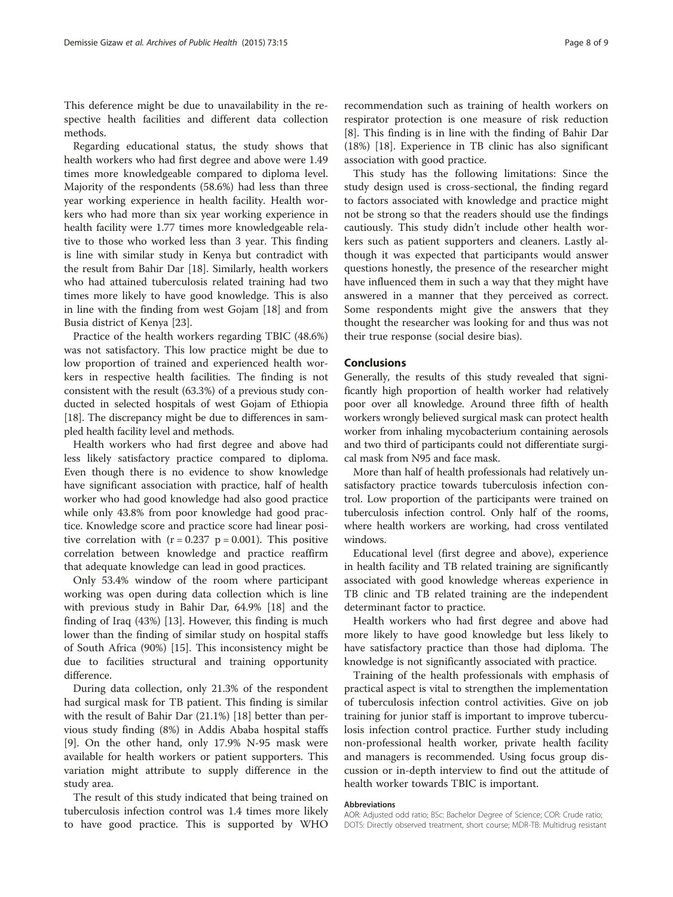This deference might be due to unavailability in the respective health facilities and different data collection methods.

Regarding educational status, the study shows that health workers who had first degree and above were 1.49 times more knowledgeable compared to diploma level. Majority of the respondents (58.6%) had less than three year working experience in health facility. Health workers who had more than six year working experience in health facility were 1.77 times more knowledgeable relative to those who worked less than 3 year. This finding is line with similar study in Kenya but contradict with the result from Bahir Dar [[18](#page-8-0)]. Similarly, health workers who had attained tuberculosis related training had two times more likely to have good knowledge. This is also in line with the finding from west Gojam [[18\]](#page-8-0) and from Busia district of Kenya [\[23\]](#page-8-0).

Practice of the health workers regarding TBIC (48.6%) was not satisfactory. This low practice might be due to low proportion of trained and experienced health workers in respective health facilities. The finding is not consistent with the result (63.3%) of a previous study conducted in selected hospitals of west Gojam of Ethiopia [[18](#page-8-0)]. The discrepancy might be due to differences in sampled health facility level and methods.

Health workers who had first degree and above had less likely satisfactory practice compared to diploma. Even though there is no evidence to show knowledge have significant association with practice, half of health worker who had good knowledge had also good practice while only 43.8% from poor knowledge had good practice. Knowledge score and practice score had linear positive correlation with  $(r = 0.237 p = 0.001)$ . This positive correlation between knowledge and practice reaffirm that adequate knowledge can lead in good practices.

Only 53.4% window of the room where participant working was open during data collection which is line with previous study in Bahir Dar, 64.9% [[18](#page-8-0)] and the finding of Iraq (43%) [[13](#page-8-0)]. However, this finding is much lower than the finding of similar study on hospital staffs of South Africa (90%) [\[15](#page-8-0)]. This inconsistency might be due to facilities structural and training opportunity difference.

During data collection, only 21.3% of the respondent had surgical mask for TB patient. This finding is similar with the result of Bahir Dar (21.1%) [[18\]](#page-8-0) better than pervious study finding (8%) in Addis Ababa hospital staffs [[9\]](#page-8-0). On the other hand, only 17.9% N-95 mask were available for health workers or patient supporters. This variation might attribute to supply difference in the study area.

The result of this study indicated that being trained on tuberculosis infection control was 1.4 times more likely to have good practice. This is supported by WHO recommendation such as training of health workers on respirator protection is one measure of risk reduction [[8\]](#page-8-0). This finding is in line with the finding of Bahir Dar (18%) [\[18\]](#page-8-0). Experience in TB clinic has also significant association with good practice.

This study has the following limitations: Since the study design used is cross-sectional, the finding regard to factors associated with knowledge and practice might not be strong so that the readers should use the findings cautiously. This study didn't include other health workers such as patient supporters and cleaners. Lastly although it was expected that participants would answer questions honestly, the presence of the researcher might have influenced them in such a way that they might have answered in a manner that they perceived as correct. Some respondents might give the answers that they thought the researcher was looking for and thus was not their true response (social desire bias).

#### **Conclusions**

Generally, the results of this study revealed that significantly high proportion of health worker had relatively poor over all knowledge. Around three fifth of health workers wrongly believed surgical mask can protect health worker from inhaling mycobacterium containing aerosols and two third of participants could not differentiate surgical mask from N95 and face mask.

More than half of health professionals had relatively unsatisfactory practice towards tuberculosis infection control. Low proportion of the participants were trained on tuberculosis infection control. Only half of the rooms, where health workers are working, had cross ventilated windows.

Educational level (first degree and above), experience in health facility and TB related training are significantly associated with good knowledge whereas experience in TB clinic and TB related training are the independent determinant factor to practice.

Health workers who had first degree and above had more likely to have good knowledge but less likely to have satisfactory practice than those had diploma. The knowledge is not significantly associated with practice.

Training of the health professionals with emphasis of practical aspect is vital to strengthen the implementation of tuberculosis infection control activities. Give on job training for junior staff is important to improve tuberculosis infection control practice. Further study including non-professional health worker, private health facility and managers is recommended. Using focus group discussion or in-depth interview to find out the attitude of health worker towards TBIC is important.

#### Abbreviations

AOR: Adjusted odd ratio; BSc: Bachelor Degree of Science; COR: Crude ratio; DOTS: Directly observed treatment, short course; MDR-TB: Multidrug resistant